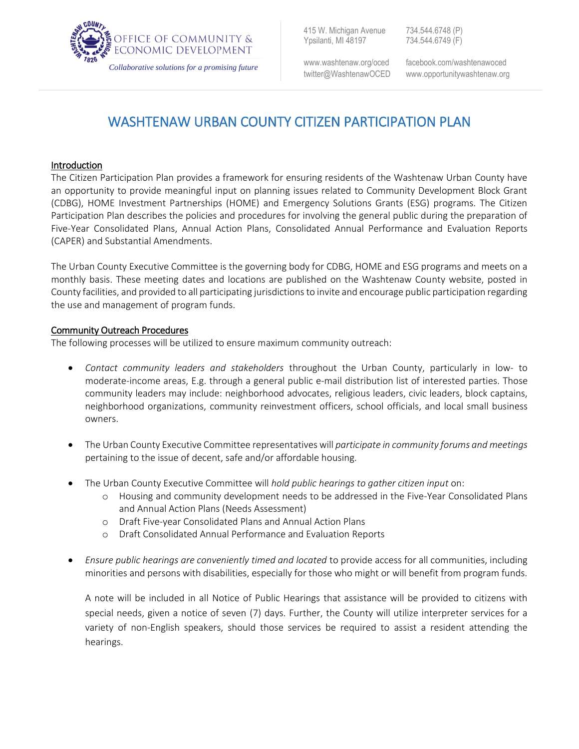

415 W. Michigan Avenue 734.544.6748 (P) Ypsilanti, MI 48197 734.544.6749 (F)

ww[w.washtenaw.org/oced](http://www.ewashtenaw.org/oced) facebook.com/washtenawoced twitter@WashtenawOCED www.opportunitywashtenaw.org

# WASHTENAW URBAN COUNTY CITIZEN PARTICIPATION PLAN

## Introduction

The Citizen Participation Plan provides a framework for ensuring residents of the Washtenaw Urban County have an opportunity to provide meaningful input on planning issues related to Community Development Block Grant (CDBG), HOME Investment Partnerships (HOME) and Emergency Solutions Grants (ESG) programs. The Citizen Participation Plan describes the policies and procedures for involving the general public during the preparation of Five-Year Consolidated Plans, Annual Action Plans, Consolidated Annual Performance and Evaluation Reports (CAPER) and Substantial Amendments.

The Urban County Executive Committee is the governing body for CDBG, HOME and ESG programs and meets on a monthly basis. These meeting dates and locations are published on the Washtenaw County website, posted in County facilities, and provided to all participating jurisdictions to invite and encourage public participation regarding the use and management of program funds.

## Community Outreach Procedures

The following processes will be utilized to ensure maximum community outreach:

- *Contact community leaders and stakeholders* throughout the Urban County, particularly in low- to moderate-income areas, E.g. through a general public e-mail distribution list of interested parties. Those community leaders may include: neighborhood advocates, religious leaders, civic leaders, block captains, neighborhood organizations, community reinvestment officers, school officials, and local small business owners.
- The Urban County Executive Committee representatives will *participate in community forums and meetings* pertaining to the issue of decent, safe and/or affordable housing.
- The Urban County Executive Committee will *hold public hearings to gather citizen input* on:
	- o Housing and community development needs to be addressed in the Five-Year Consolidated Plans and Annual Action Plans (Needs Assessment)
	- o Draft Five-year Consolidated Plans and Annual Action Plans
	- o Draft Consolidated Annual Performance and Evaluation Reports
- *Ensure public hearings are conveniently timed and located* to provide access for all communities, including minorities and persons with disabilities, especially for those who might or will benefit from program funds.

A note will be included in all Notice of Public Hearings that assistance will be provided to citizens with special needs, given a notice of seven (7) days. Further, the County will utilize interpreter services for a variety of non-English speakers, should those services be required to assist a resident attending the hearings.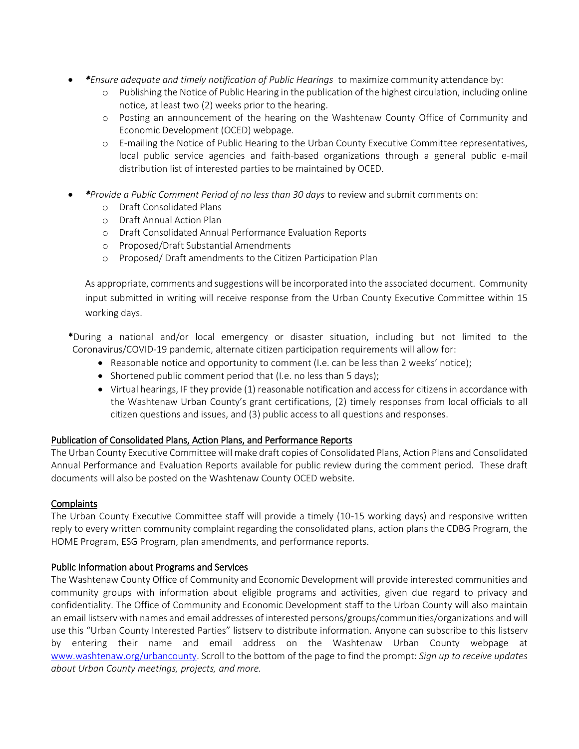- *\*Ensure adequate and timely notification of Public Hearings* to maximize community attendance by:
	- o Publishing the Notice of Public Hearing in the publication of the highest circulation, including online notice, at least two (2) weeks prior to the hearing.
	- o Posting an announcement of the hearing on the Washtenaw County Office of Community and Economic Development (OCED) webpage.
	- o E-mailing the Notice of Public Hearing to the Urban County Executive Committee representatives, local public service agencies and faith-based organizations through a general public e-mail distribution list of interested parties to be maintained by OCED.
- *\*Provide a Public Comment Period of no less than 30 days* to review and submit comments on:
	- o Draft Consolidated Plans
	- o Draft Annual Action Plan
	- o Draft Consolidated Annual Performance Evaluation Reports
	- o Proposed/Draft Substantial Amendments
	- o Proposed/ Draft amendments to the Citizen Participation Plan

As appropriate, comments and suggestions will be incorporated into the associated document. Community input submitted in writing will receive response from the Urban County Executive Committee within 15 working days.

\*During a national and/or local emergency or disaster situation, including but not limited to the Coronavirus/COVID-19 pandemic, alternate citizen participation requirements will allow for:

- Reasonable notice and opportunity to comment (I.e. can be less than 2 weeks' notice);
- Shortened public comment period that (I.e. no less than 5 days);
- Virtual hearings, IF they provide (1) reasonable notification and access for citizens in accordance with the Washtenaw Urban County's grant certifications, (2) timely responses from local officials to all citizen questions and issues, and (3) public access to all questions and responses.

## Publication of Consolidated Plans, Action Plans, and Performance Reports

The Urban County Executive Committee will make draft copies of Consolidated Plans, Action Plans and Consolidated Annual Performance and Evaluation Reports available for public review during the comment period. These draft documents will also be posted on the Washtenaw County OCED website.

## **Complaints**

The Urban County Executive Committee staff will provide a timely (10-15 working days) and responsive written reply to every written community complaint regarding the consolidated plans, action plans the CDBG Program, the HOME Program, ESG Program, plan amendments, and performance reports.

## Public Information about Programs and Services

The Washtenaw County Office of Community and Economic Development will provide interested communities and community groups with information about eligible programs and activities, given due regard to privacy and confidentiality. The Office of Community and Economic Development staff to the Urban County will also maintain an email listserv with names and email addresses of interested persons/groups/communities/organizations and will use this "Urban County Interested Parties" listserv to distribute information. Anyone can subscribe to this listserv by entering their name and email address on the Washtenaw Urban County webpage at [www.washtenaw.org/urbancounty.](http://www.washtenaw.org/urbancounty) Scroll to the bottom of the page to find the prompt: *Sign up to receive updates about Urban County meetings, projects, and more.*